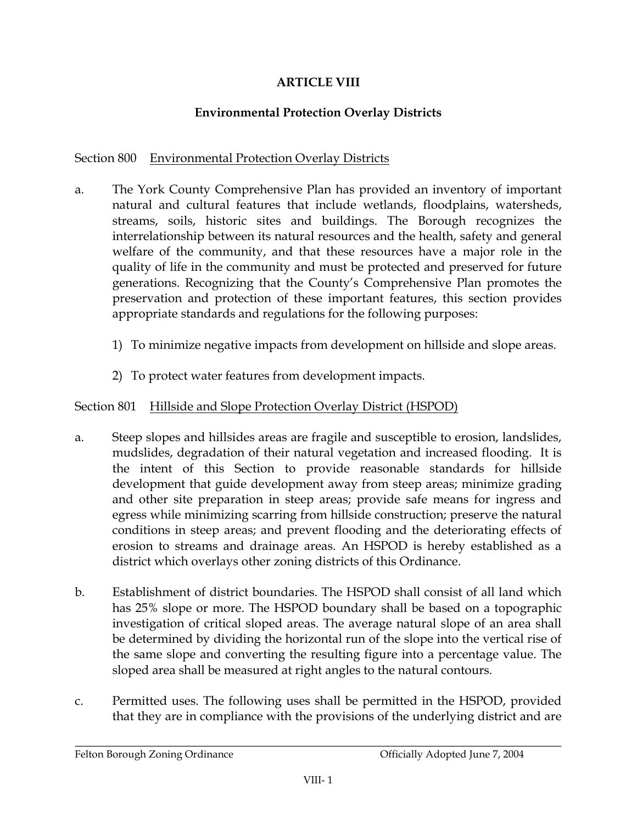## **ARTICLE VIII**

# **Environmental Protection Overlay Districts**

## Section 800 Environmental Protection Overlay Districts

- The York County Comprehensive Plan has provided an inventory of important a. natural and cultural features that include wetlands, floodplains, watersheds, streams, soils, historic sites and buildings. The Borough recognizes the interrelationship between its natural resources and the health, safety and general welfare of the community, and that these resources have a major role in the quality of life in the community and must be protected and preserved for future generations. Recognizing that the County's Comprehensive Plan promotes the preservation and protection of these important features, this section provides appropriate standards and regulations for the following purposes:
	- 1) To minimize negative impacts from development on hillside and slope areas.
	- 2) To protect water features from development impacts.

# Section 801 Hillside and Slope Protection Overlay District (HSPOD)

- Steep slopes and hillsides areas are fragile and susceptible to erosion, landslides, a. mudslides, degradation of their natural vegetation and increased flooding. It is the intent of this Section to provide reasonable standards for hillside development that guide development away from steep areas; minimize grading and other site preparation in steep areas; provide safe means for ingress and egress while minimizing scarring from hillside construction; preserve the natural conditions in steep areas; and prevent flooding and the deteriorating effects of erosion to streams and drainage areas. An HSPOD is hereby established as a district which overlays other zoning districts of this Ordinance.
- $\mathbf{b}$ . Establishment of district boundaries. The HSPOD shall consist of all land which has 25% slope or more. The HSPOD boundary shall be based on a topographic investigation of critical sloped areas. The average natural slope of an area shall be determined by dividing the horizontal run of the slope into the vertical rise of the same slope and converting the resulting figure into a percentage value. The sloped area shall be measured at right angles to the natural contours.
- Permitted uses. The following uses shall be permitted in the HSPOD, provided  $C<sub>1</sub>$ that they are in compliance with the provisions of the underlying district and are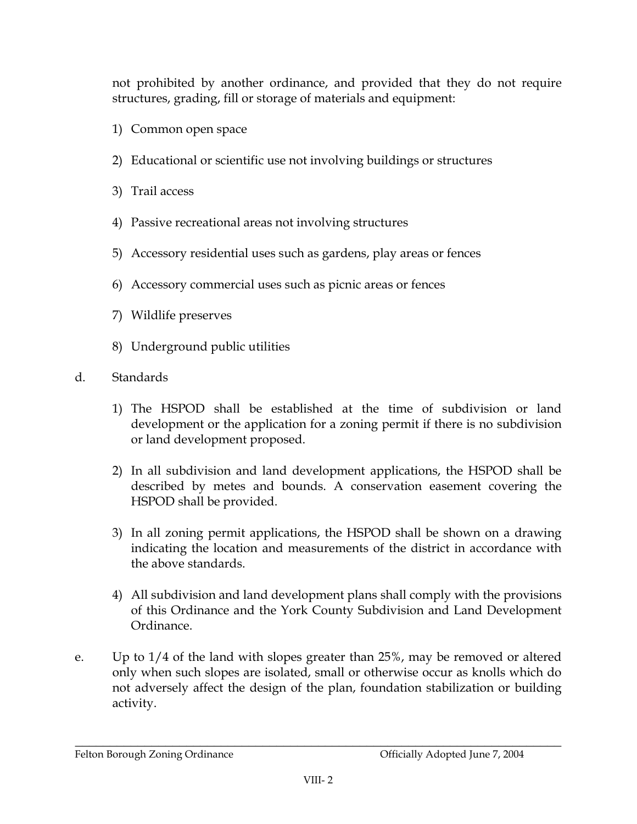not prohibited by another ordinance, and provided that they do not require structures, grading, fill or storage of materials and equipment:

- 1) Common open space
- 2) Educational or scientific use not involving buildings or structures
- 3) Trail access
- 4) Passive recreational areas not involving structures
- 5) Accessory residential uses such as gardens, play areas or fences
- 6) Accessory commercial uses such as picnic areas or fences
- 7) Wildlife preserves
- 8) Underground public utilities
- $d_{\cdot}$ **Standards** 
	- 1) The HSPOD shall be established at the time of subdivision or land development or the application for a zoning permit if there is no subdivision or land development proposed.
	- 2) In all subdivision and land development applications, the HSPOD shall be described by metes and bounds. A conservation easement covering the HSPOD shall be provided.
	- 3) In all zoning permit applications, the HSPOD shall be shown on a drawing indicating the location and measurements of the district in accordance with the above standards.
	- 4) All subdivision and land development plans shall comply with the provisions of this Ordinance and the York County Subdivision and Land Development Ordinance.
- $\mathbf{e}$ . Up to  $1/4$  of the land with slopes greater than  $25\%$ , may be removed or altered only when such slopes are isolated, small or otherwise occur as knolls which do not adversely affect the design of the plan, foundation stabilization or building activity.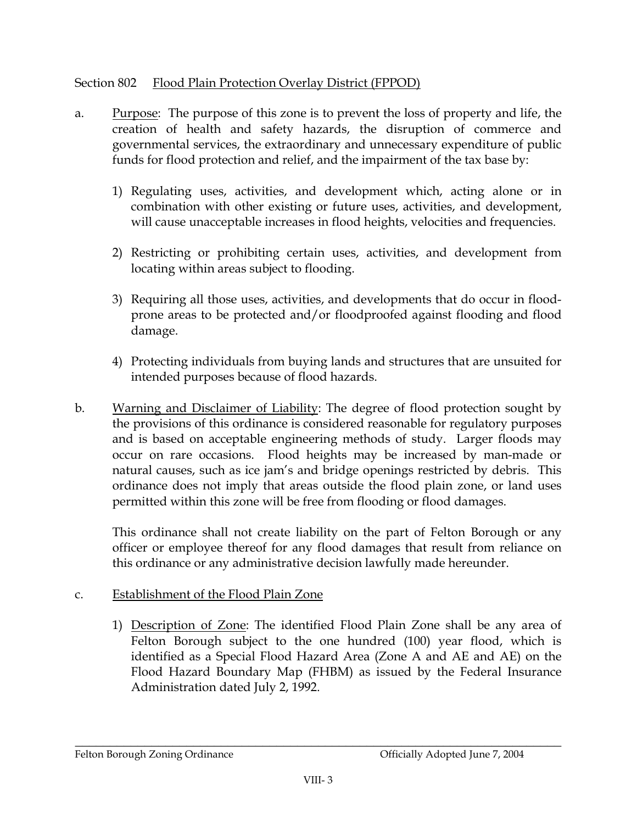#### Section 802 Flood Plain Protection Overlay District (FPPOD)

- **Purpose:** The purpose of this zone is to prevent the loss of property and life, the a. creation of health and safety hazards, the disruption of commerce and governmental services, the extraordinary and unnecessary expenditure of public funds for flood protection and relief, and the impairment of the tax base by:
	- 1) Regulating uses, activities, and development which, acting alone or in combination with other existing or future uses, activities, and development, will cause unacceptable increases in flood heights, velocities and frequencies.
	- 2) Restricting or prohibiting certain uses, activities, and development from locating within areas subject to flooding.
	- 3) Requiring all those uses, activities, and developments that do occur in floodprone areas to be protected and/or floodproofed against flooding and flood damage.
	- 4) Protecting individuals from buying lands and structures that are unsuited for intended purposes because of flood hazards.
- $<sub>b</sub>$ .</sub> Warning and Disclaimer of Liability: The degree of flood protection sought by the provisions of this ordinance is considered reasonable for regulatory purposes and is based on acceptable engineering methods of study. Larger floods may occur on rare occasions. Flood heights may be increased by man-made or natural causes, such as ice jam's and bridge openings restricted by debris. This ordinance does not imply that areas outside the flood plain zone, or land uses permitted within this zone will be free from flooding or flood damages.

This ordinance shall not create liability on the part of Felton Borough or any officer or employee thereof for any flood damages that result from reliance on this ordinance or any administrative decision lawfully made hereunder.

### Establishment of the Flood Plain Zone C.

1) Description of Zone: The identified Flood Plain Zone shall be any area of Felton Borough subject to the one hundred (100) year flood, which is identified as a Special Flood Hazard Area (Zone A and AE and AE) on the Flood Hazard Boundary Map (FHBM) as issued by the Federal Insurance Administration dated July 2, 1992.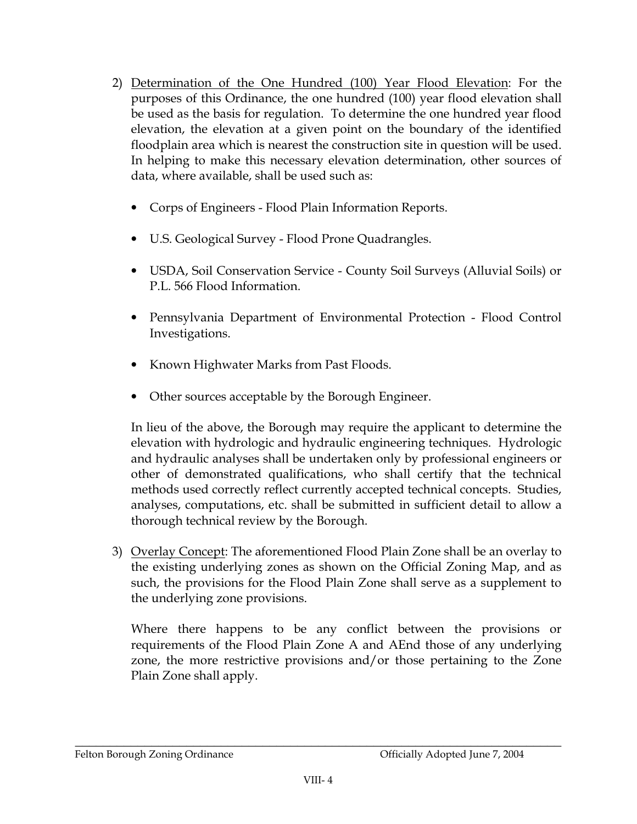- 2) Determination of the One Hundred (100) Year Flood Elevation: For the purposes of this Ordinance, the one hundred (100) year flood elevation shall be used as the basis for regulation. To determine the one hundred year flood elevation, the elevation at a given point on the boundary of the identified floodplain area which is nearest the construction site in question will be used. In helping to make this necessary elevation determination, other sources of data, where available, shall be used such as:
	- Corps of Engineers Flood Plain Information Reports.
	- U.S. Geological Survey Flood Prone Quadrangles.
	- USDA, Soil Conservation Service County Soil Surveys (Alluvial Soils) or P.L. 566 Flood Information.
	- $\bullet$ Pennsylvania Department of Environmental Protection - Flood Control Investigations.
	- Known Highwater Marks from Past Floods.
	- Other sources acceptable by the Borough Engineer.

In lieu of the above, the Borough may require the applicant to determine the elevation with hydrologic and hydraulic engineering techniques. Hydrologic and hydraulic analyses shall be undertaken only by professional engineers or other of demonstrated qualifications, who shall certify that the technical methods used correctly reflect currently accepted technical concepts. Studies, analyses, computations, etc. shall be submitted in sufficient detail to allow a thorough technical review by the Borough.

3) Overlay Concept: The aforementioned Flood Plain Zone shall be an overlay to the existing underlying zones as shown on the Official Zoning Map, and as such, the provisions for the Flood Plain Zone shall serve as a supplement to the underlying zone provisions.

Where there happens to be any conflict between the provisions or requirements of the Flood Plain Zone A and AEnd those of any underlying zone, the more restrictive provisions and/or those pertaining to the Zone Plain Zone shall apply.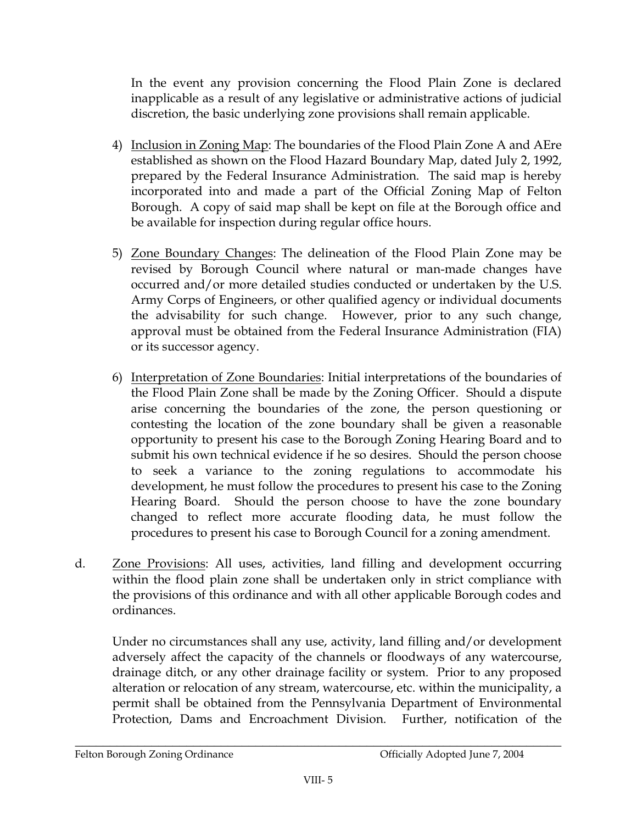In the event any provision concerning the Flood Plain Zone is declared inapplicable as a result of any legislative or administrative actions of judicial discretion, the basic underlying zone provisions shall remain applicable.

- 4) Inclusion in Zoning Map: The boundaries of the Flood Plain Zone A and AEre established as shown on the Flood Hazard Boundary Map, dated July 2, 1992, prepared by the Federal Insurance Administration. The said map is hereby incorporated into and made a part of the Official Zoning Map of Felton Borough. A copy of said map shall be kept on file at the Borough office and be available for inspection during regular office hours.
- 5) Zone Boundary Changes: The delineation of the Flood Plain Zone may be revised by Borough Council where natural or man-made changes have occurred and/or more detailed studies conducted or undertaken by the U.S. Army Corps of Engineers, or other qualified agency or individual documents the advisability for such change. However, prior to any such change, approval must be obtained from the Federal Insurance Administration (FIA) or its successor agency.
- 6) Interpretation of Zone Boundaries: Initial interpretations of the boundaries of the Flood Plain Zone shall be made by the Zoning Officer. Should a dispute arise concerning the boundaries of the zone, the person questioning or contesting the location of the zone boundary shall be given a reasonable opportunity to present his case to the Borough Zoning Hearing Board and to submit his own technical evidence if he so desires. Should the person choose to seek a variance to the zoning regulations to accommodate his development, he must follow the procedures to present his case to the Zoning Hearing Board. Should the person choose to have the zone boundary changed to reflect more accurate flooding data, he must follow the procedures to present his case to Borough Council for a zoning amendment.
- Zone Provisions: All uses, activities, land filling and development occurring d. within the flood plain zone shall be undertaken only in strict compliance with the provisions of this ordinance and with all other applicable Borough codes and ordinances

Under no circumstances shall any use, activity, land filling and/or development adversely affect the capacity of the channels or floodways of any watercourse, drainage ditch, or any other drainage facility or system. Prior to any proposed alteration or relocation of any stream, watercourse, etc. within the municipality, a permit shall be obtained from the Pennsylvania Department of Environmental Protection, Dams and Encroachment Division. Further, notification of the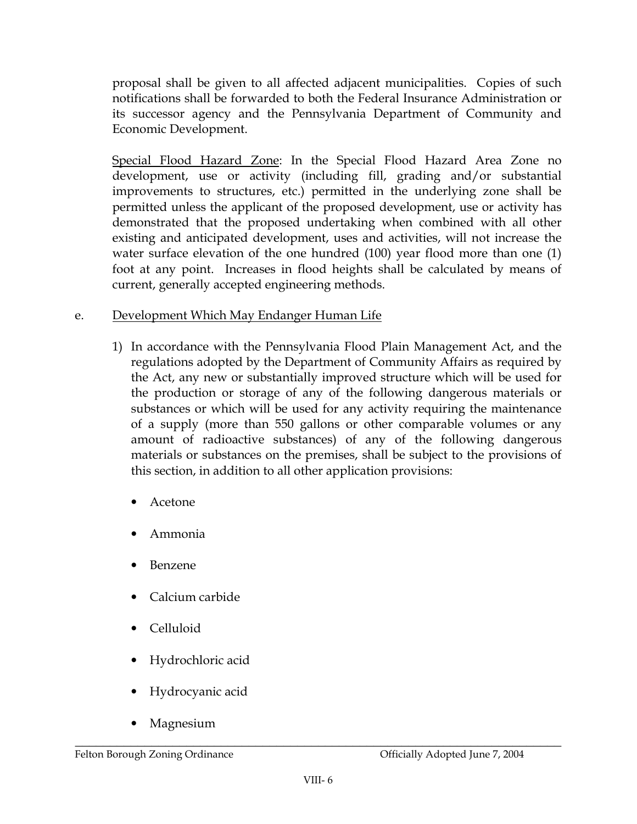proposal shall be given to all affected adjacent municipalities. Copies of such notifications shall be forwarded to both the Federal Insurance Administration or its successor agency and the Pennsylvania Department of Community and Economic Development.

Special Flood Hazard Zone: In the Special Flood Hazard Area Zone no development, use or activity (including fill, grading and/or substantial improvements to structures, etc.) permitted in the underlying zone shall be permitted unless the applicant of the proposed development, use or activity has demonstrated that the proposed undertaking when combined with all other existing and anticipated development, uses and activities, will not increase the water surface elevation of the one hundred (100) year flood more than one (1) foot at any point. Increases in flood heights shall be calculated by means of current, generally accepted engineering methods.

#### Development Which May Endanger Human Life e.

- 1) In accordance with the Pennsylvania Flood Plain Management Act, and the regulations adopted by the Department of Community Affairs as required by the Act, any new or substantially improved structure which will be used for the production or storage of any of the following dangerous materials or substances or which will be used for any activity requiring the maintenance of a supply (more than 550 gallons or other comparable volumes or any amount of radioactive substances) of any of the following dangerous materials or substances on the premises, shall be subject to the provisions of this section, in addition to all other application provisions:
	- Acetone
	- Ammonia
	- Benzene
	- Calcium carbide
	- Celluloid
	- Hydrochloric acid
	- Hydrocyanic acid
	- Magnesium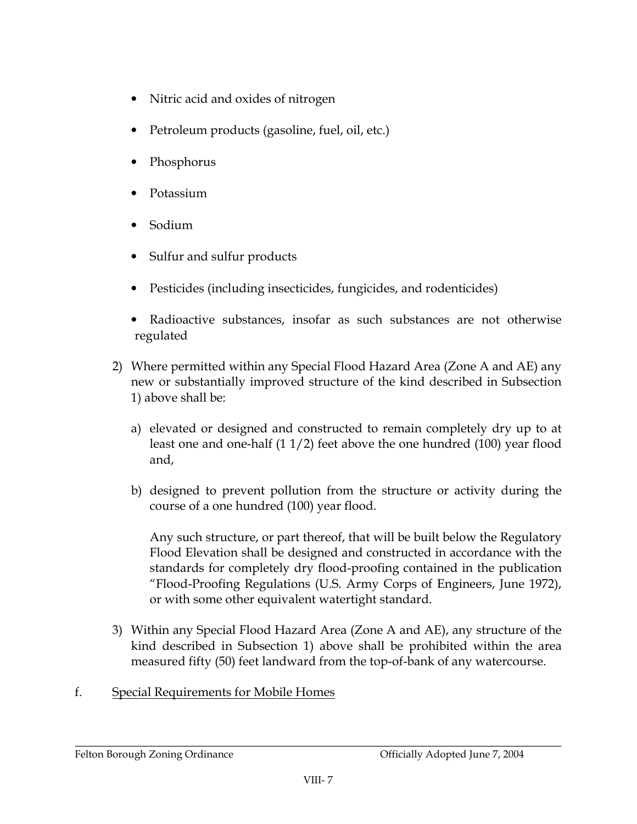- Nitric acid and oxides of nitrogen
- Petroleum products (gasoline, fuel, oil, etc.)
- Phosphorus
- Potassium
- Sodium
- Sulfur and sulfur products
- Pesticides (including insecticides, fungicides, and rodenticides)
- $\bullet$ Radioactive substances, insofar as such substances are not otherwise regulated
- 2) Where permitted within any Special Flood Hazard Area (Zone A and AE) any new or substantially improved structure of the kind described in Subsection 1) above shall be:
	- a) elevated or designed and constructed to remain completely dry up to at least one and one-half  $(11/2)$  feet above the one hundred  $(100)$  year flood and,
	- b) designed to prevent pollution from the structure or activity during the course of a one hundred (100) year flood.

Any such structure, or part thereof, that will be built below the Regulatory Flood Elevation shall be designed and constructed in accordance with the standards for completely dry flood-proofing contained in the publication "Flood-Proofing Regulations (U.S. Army Corps of Engineers, June 1972), or with some other equivalent watertight standard.

3) Within any Special Flood Hazard Area (Zone A and AE), any structure of the kind described in Subsection 1) above shall be prohibited within the area measured fifty (50) feet landward from the top-of-bank of any watercourse.

### $f<sub>r</sub>$ Special Requirements for Mobile Homes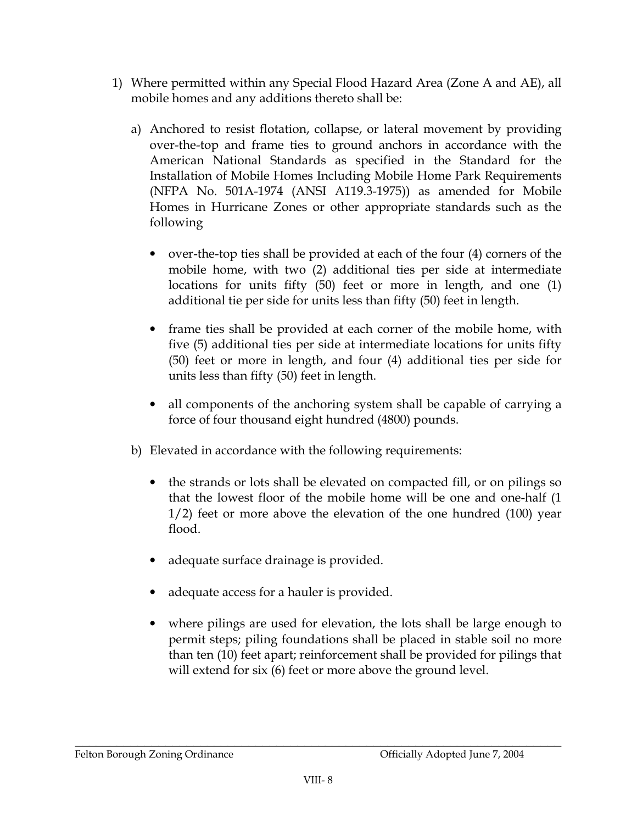- 1) Where permitted within any Special Flood Hazard Area (Zone A and AE), all mobile homes and any additions thereto shall be:
	- a) Anchored to resist flotation, collapse, or lateral movement by providing over-the-top and frame ties to ground anchors in accordance with the American National Standards as specified in the Standard for the Installation of Mobile Homes Including Mobile Home Park Requirements (NFPA No. 501A-1974 (ANSI A119.3-1975)) as amended for Mobile Homes in Hurricane Zones or other appropriate standards such as the following
		- over-the-top ties shall be provided at each of the four (4) corners of the mobile home, with two (2) additional ties per side at intermediate locations for units fifty (50) feet or more in length, and one (1) additional tie per side for units less than fifty (50) feet in length.
		- frame ties shall be provided at each corner of the mobile home, with five (5) additional ties per side at intermediate locations for units fifty (50) feet or more in length, and four (4) additional ties per side for units less than fifty (50) feet in length.
		- all components of the anchoring system shall be capable of carrying a force of four thousand eight hundred (4800) pounds.
	- b) Elevated in accordance with the following requirements:
		- the strands or lots shall be elevated on compacted fill, or on pilings so  $\bullet$ that the lowest floor of the mobile home will be one and one-half (1)  $1/2$ ) feet or more above the elevation of the one hundred (100) year flood.
		- adequate surface drainage is provided.
		- adequate access for a hauler is provided.  $\bullet$
		- where pilings are used for elevation, the lots shall be large enough to permit steps; piling foundations shall be placed in stable soil no more than ten (10) feet apart; reinforcement shall be provided for pilings that will extend for six (6) feet or more above the ground level.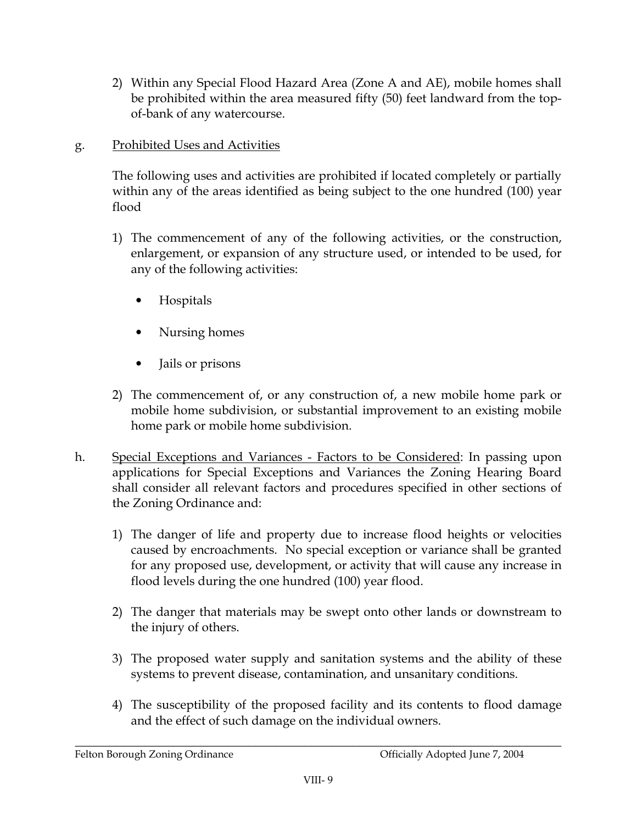- 2) Within any Special Flood Hazard Area (Zone A and AE), mobile homes shall be prohibited within the area measured fifty (50) feet landward from the topof-bank of any watercourse.
- Prohibited Uses and Activities g.

The following uses and activities are prohibited if located completely or partially within any of the areas identified as being subject to the one hundred (100) year flood

- 1) The commencement of any of the following activities, or the construction, enlargement, or expansion of any structure used, or intended to be used, for any of the following activities:
	- Hospitals
	- Nursing homes
	- $\bullet$ Jails or prisons
- 2) The commencement of, or any construction of, a new mobile home park or mobile home subdivision, or substantial improvement to an existing mobile home park or mobile home subdivision.
- h. Special Exceptions and Variances - Factors to be Considered: In passing upon applications for Special Exceptions and Variances the Zoning Hearing Board shall consider all relevant factors and procedures specified in other sections of the Zoning Ordinance and:
	- 1) The danger of life and property due to increase flood heights or velocities caused by encroachments. No special exception or variance shall be granted for any proposed use, development, or activity that will cause any increase in flood levels during the one hundred (100) year flood.
	- 2) The danger that materials may be swept onto other lands or downstream to the injury of others.
	- 3) The proposed water supply and sanitation systems and the ability of these systems to prevent disease, contamination, and unsanitary conditions.
	- 4) The susceptibility of the proposed facility and its contents to flood damage and the effect of such damage on the individual owners.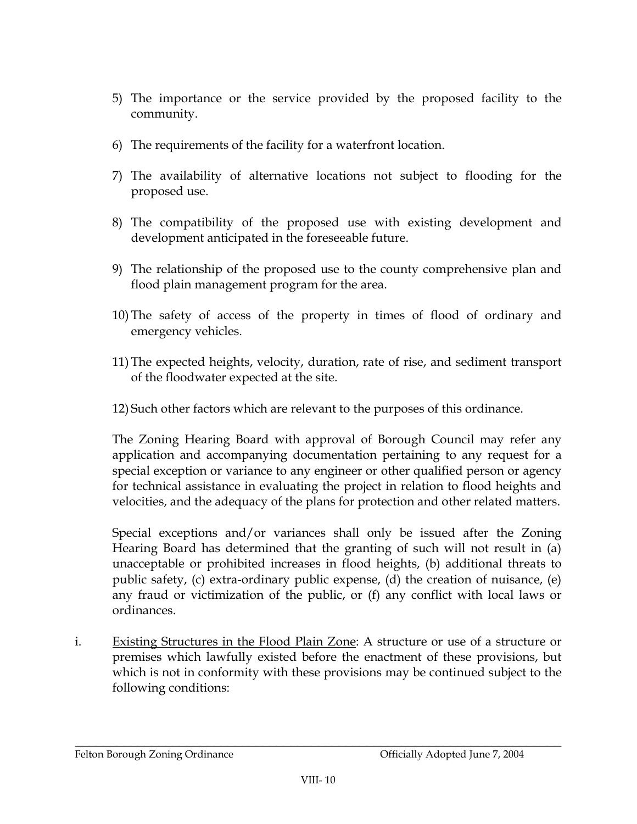- 5) The importance or the service provided by the proposed facility to the community.
- 6) The requirements of the facility for a waterfront location.
- 7) The availability of alternative locations not subject to flooding for the proposed use.
- 8) The compatibility of the proposed use with existing development and development anticipated in the foreseeable future.
- 9) The relationship of the proposed use to the county comprehensive plan and flood plain management program for the area.
- 10) The safety of access of the property in times of flood of ordinary and emergency vehicles.
- 11) The expected heights, velocity, duration, rate of rise, and sediment transport of the floodwater expected at the site.
- 12) Such other factors which are relevant to the purposes of this ordinance.

The Zoning Hearing Board with approval of Borough Council may refer any application and accompanying documentation pertaining to any request for a special exception or variance to any engineer or other qualified person or agency for technical assistance in evaluating the project in relation to flood heights and velocities, and the adequacy of the plans for protection and other related matters.

Special exceptions and/or variances shall only be issued after the Zoning Hearing Board has determined that the granting of such will not result in (a) unacceptable or prohibited increases in flood heights, (b) additional threats to public safety, (c) extra-ordinary public expense, (d) the creation of nuisance, (e) any fraud or victimization of the public, or (f) any conflict with local laws or ordinances

i. Existing Structures in the Flood Plain Zone: A structure or use of a structure or premises which lawfully existed before the enactment of these provisions, but which is not in conformity with these provisions may be continued subject to the following conditions: